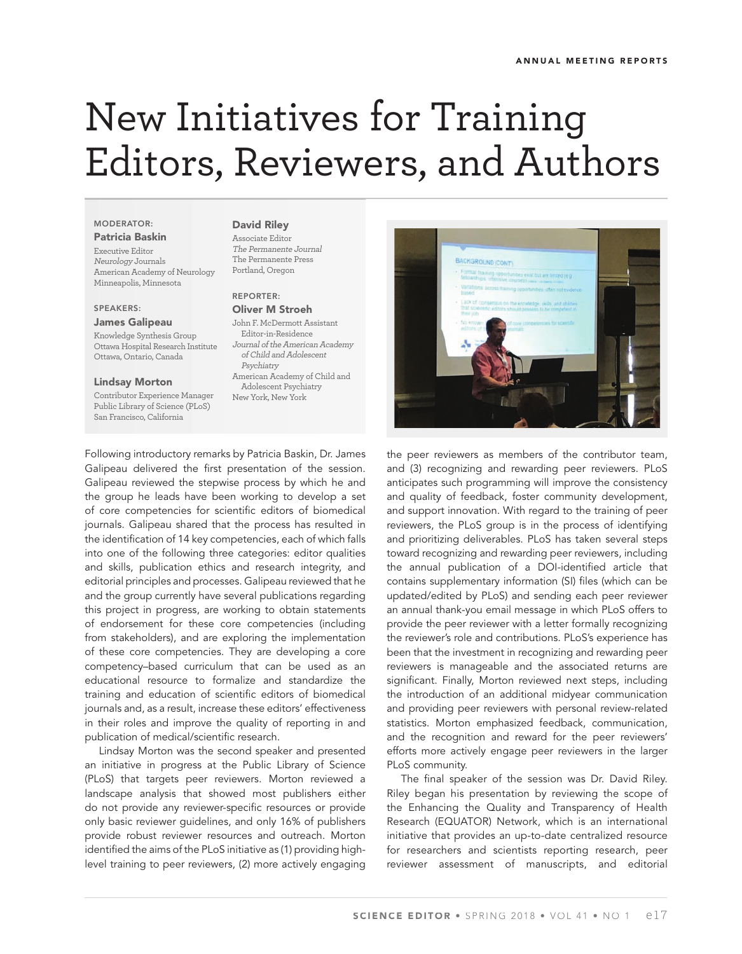# New Initiatives for Training Editors, Reviewers, and Authors

### **MODERATOR:**

**Patricia Baskin** Executive Editor Neurology Journals American Academy of Neurology Minneapolis, Minnesota

#### **SPEAKERS:**

**James Galipeau**

Knowledge Synthesis Group Ottawa Hospital Research Institute Ottawa, Ontario, Canada

#### **Lindsay Morton**

Contributor Experience Manager Public Library of Science (PLoS) San Francisco, California

#### **David Riley**

Associate Editor The Permanente Journal The Permanente Press Portland, Oregon

#### **REPORTER:**

**Oliver M Stroeh** John F. McDermott Assistant Editor-in-Residence Journal of the American Academy of Child and Adolescent Psychiatry American Academy of Child and Adolescent Psychiatry New York, New York

Following introductory remarks by Patricia Baskin, Dr. James Galipeau delivered the first presentation of the session. Galipeau reviewed the stepwise process by which he and the group he leads have been working to develop a set of core competencies for scientific editors of biomedical journals. Galipeau shared that the process has resulted in the identification of 14 key competencies, each of which falls into one of the following three categories: editor qualities and skills, publication ethics and research integrity, and editorial principles and processes. Galipeau reviewed that he and the group currently have several publications regarding this project in progress, are working to obtain statements of endorsement for these core competencies (including from stakeholders), and are exploring the implementation of these core competencies. They are developing a core competency–based curriculum that can be used as an educational resource to formalize and standardize the training and education of scientific editors of biomedical journals and, as a result, increase these editors' effectiveness in their roles and improve the quality of reporting in and publication of medical/scientific research.

Lindsay Morton was the second speaker and presented an initiative in progress at the Public Library of Science (PLoS) that targets peer reviewers. Morton reviewed a landscape analysis that showed most publishers either do not provide any reviewer-specific resources or provide only basic reviewer guidelines, and only 16% of publishers provide robust reviewer resources and outreach. Morton identified the aims of the PLoS initiative as (1) providing highlevel training to peer reviewers, (2) more actively engaging



the peer reviewers as members of the contributor team, and (3) recognizing and rewarding peer reviewers. PLoS anticipates such programming will improve the consistency and quality of feedback, foster community development, and support innovation. With regard to the training of peer reviewers, the PLoS group is in the process of identifying and prioritizing deliverables. PLoS has taken several steps toward recognizing and rewarding peer reviewers, including the annual publication of a DOI-identified article that contains supplementary information (SI) files (which can be updated/edited by PLoS) and sending each peer reviewer an annual thank-you email message in which PLoS offers to provide the peer reviewer with a letter formally recognizing the reviewer's role and contributions. PLoS's experience has been that the investment in recognizing and rewarding peer reviewers is manageable and the associated returns are significant. Finally, Morton reviewed next steps, including the introduction of an additional midyear communication and providing peer reviewers with personal review-related statistics. Morton emphasized feedback, communication, and the recognition and reward for the peer reviewers' efforts more actively engage peer reviewers in the larger PLoS community.

The final speaker of the session was Dr. David Riley. Riley began his presentation by reviewing the scope of the Enhancing the Quality and Transparency of Health Research (EQUATOR) Network, which is an international initiative that provides an up-to-date centralized resource for researchers and scientists reporting research, peer reviewer assessment of manuscripts, and editorial